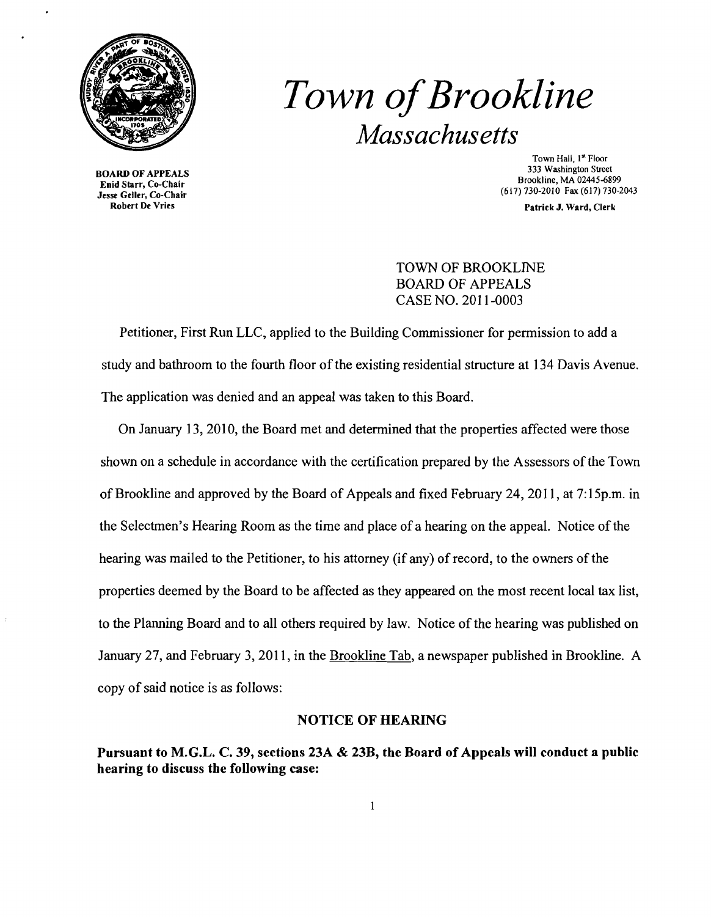

## *Town ofBrookline Massachusetts*

Enid Starr, Co-Chair<br>
Jesse Geller, Co-Chair<br>
Robert De Vries<br>
Robert De Vries<br>
Patrick J. Ward. Clerk<br>
Patrick J. Ward. Clerk

Town Hall, 1<sup>st</sup> Floor<br>333 Washington Street 333 Washington Street 333 Washington Street 333 Washington Street<br>
Enid Starr, Co-Chair 689945-6899 Enid Starr, Co-Chair 689945-6899 Enid Starr, Co-Chair 689945-6899 Enid Starr

Patrick J. Ward, Clerk

TOWN OF BROOKLINE BOARD OF APPEALS CASE NO. 2011-0003

Petitioner, First Run LLC, applied to the Building Commissioner for permission to add a study and bathroom to the fourth floor of the existing residential structure at 134 Davis Avenue. The application was denied and an appeal was taken to this Board.

On January 13, 2010, the Board met and detennined that the properties affected were those shown on a schedule in accordance with the certification prepared by the Assessors of the Town of Brookline and approved by the Board of Appeals and fixed February 24, 2011, at 7: 15p.m. in the Selectmen's Hearing Room as the time and place of a hearing on the appeal. Notice of the hearing was mailed to the Petitioner, to his attorney (if any) of record, to the owners of the properties deemed by the Board to be affected as they appeared on the most recent local tax list, to the Planning Board and to all others required by law. Notice of the hearing was published on January 27, and February 3, 2011, in the Brookline Tab, a newspaper published in Brookline. A copy of said notice is as follows:

## NOTICE OF HEARING

Pursuant to M.G.L. C. 39, sections 23A & 23B, the Board of Appeals will conduct a public hearing to discuss the following case: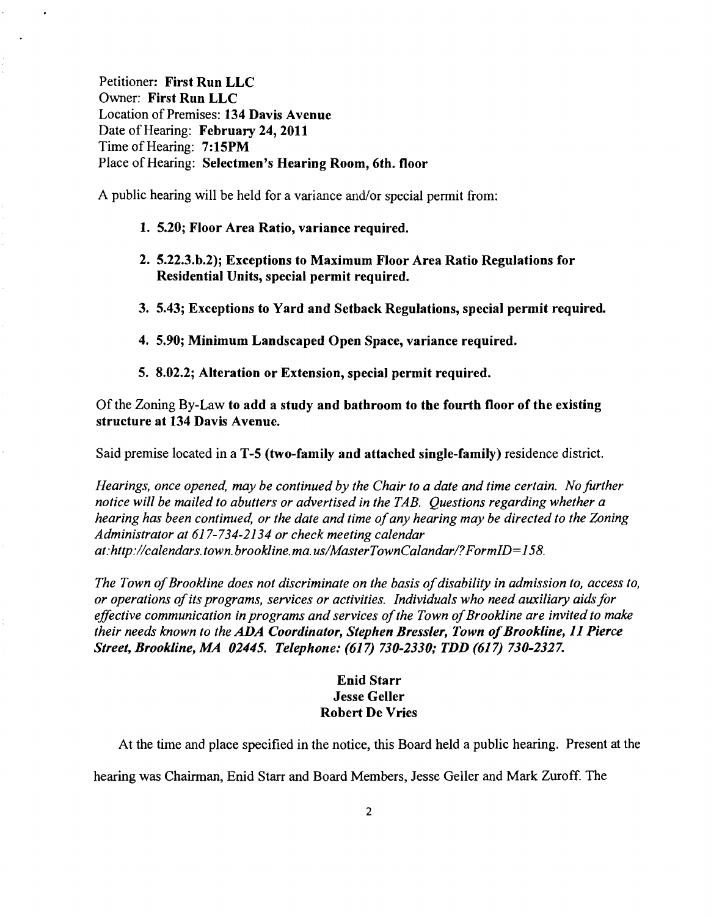Petitioner: First Run LLC Owner: First Run LLC Location of Premises: 134 Davis Avenue Date of Hearing: February 24, 2011 Time of Hearing: 7:15PM Place of Hearing: Selectmen's Hearing Room, 6th. floor

A public hearing will be held for a variance and/or special permit from:

- 1. 5.20; Floor Area Ratio, variance required.
- 2. 5.22.3.b.2); Exceptions to Maximum Floor Area Ratio Regulations for Residential Units, special permit required.
- 3. 5.43; Exceptions to Yard and Setback Regulations, special permit required
- 4. 5.90; Minimum Landscaped Open Space, variance required.
- 5. 8.02.2; Alteration or Extension, special permit required.

Ofthe Zoning By-Law to add a study and bathroom to the fourth floor of the existing structure at 134 Davis Avenue.

Said premise located in a T-5 (two-family and attached single-family) residence district.

*Hearings, once opened, may be continued by the Chair to a date and time certain. No further notice will be mailed to abutters or advertised in the TAB. Questions regarding whether a hearing has been continued, or the date and time ofany hearing may be directed to the Zoning Administrator at* 617-734-2134 *or check meeting calendar at:http://calendars.town.brookline.ma.usIMasterTownCalandarl?FormID=158.* 

*The Town of Brookline does not discriminate on the basis of disability in admission to, access to, or operations ofits programs, services or activities. Individuals who need auxiliary aidsfor effective communication in programs and services of the Town of Brookline are invited to make their needs known to the ADA Coordinator, Stephen Bressler, Town of Brookline, 11 Pierce Street, Brookline, MA 02445. Telephone:* (617) *730-2330,. TDD* (617) *730-2327.* 

## Enid Starr **Jesse Geller** Robert De Vries

At the time and place specified in the notice, this Board held a public hearing. Present at the

hearing was Chairman, Enid Starr and Board Members, Jesse Geller and Mark Zuroff. The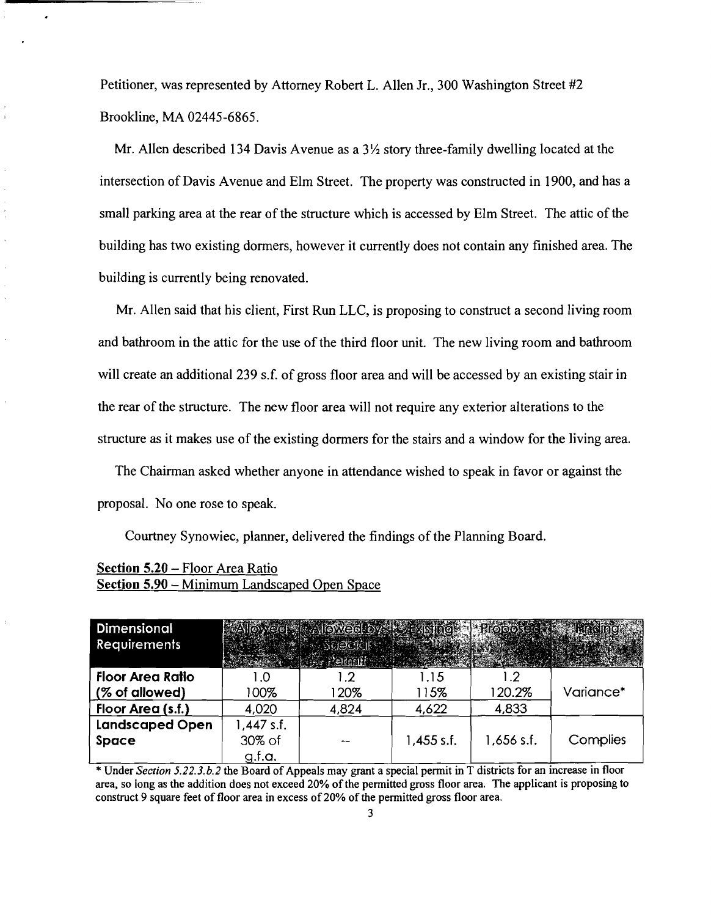Petitioner, was represented by Attorney Robert L. Allen Jr., 300 Washington Street #2 Brookline, MA 02445-6865.

Mr. Allen described 134 Davis Avenue as a  $3\frac{1}{2}$  story three-family dwelling located at the intersection of Davis Avenue and Elm Street. The property was constructed in 1900, and has a small parking area at the rear of the structure which is accessed by Elm Street. The attic of the building has two existing dormers, however it currently does not contain any finished area. The building is currently being renovated.

Mr. Allen said that his client, First Run LLC, is proposing to construct a second living room and bathroom in the attic for the use of the third floor unit. The new living room and bathroom will create an additional 239 s.f. of gross floor area and will be accessed by an existing stair in the rear of the structure. The new floor area will not require any exterior alterations to the structure as it makes use of the existing dormers for the stairs and a window for the living area.

The Chairman asked whether anyone in attendance wished to speak in favor or against the proposal. No one rose to speak.

Courtney Synowiec, planner, delivered the findings of the Planning Board.

| Section 5.20 – Floor Area Ratio              |
|----------------------------------------------|
| Section 5.90 – Minimum Landscaped Open Space |

| <b>Dimensional</b><br><b>Requirements</b> |              | <b>ENDENTAWAGO TAYAS</b><br><b>ASceciali</b> |              |              |           |
|-------------------------------------------|--------------|----------------------------------------------|--------------|--------------|-----------|
| <b>Floor Area Ratio</b>                   | l .O         | $\cdot$ .2                                   | 1.15         |              |           |
| (% of allowed)                            | 100%         | 120%                                         | 115%         | 120.2%       | Variance* |
| Floor Area (s.f.)                         | 4,020        | 4,824                                        | 4,622        | 4,833        |           |
| <b>Landscaped Open</b>                    | $1,447$ s.f. |                                              |              |              |           |
| <b>Space</b>                              | 30% of       |                                              | $1,455$ s.f. | $1,656$ s.f. | Complies  |
|                                           | g.f.a.       |                                              |              |              |           |

\* Under *Section 5.22.3.b.2* the Board of Appeals may grant a special permit in T districts for an increase in floor area, so long as the addition does not exceed 20% ofthe pennitted gross floor area. The applicant is proposing to construct 9 square feet of floor area in excess of 20% of the permitted gross floor area.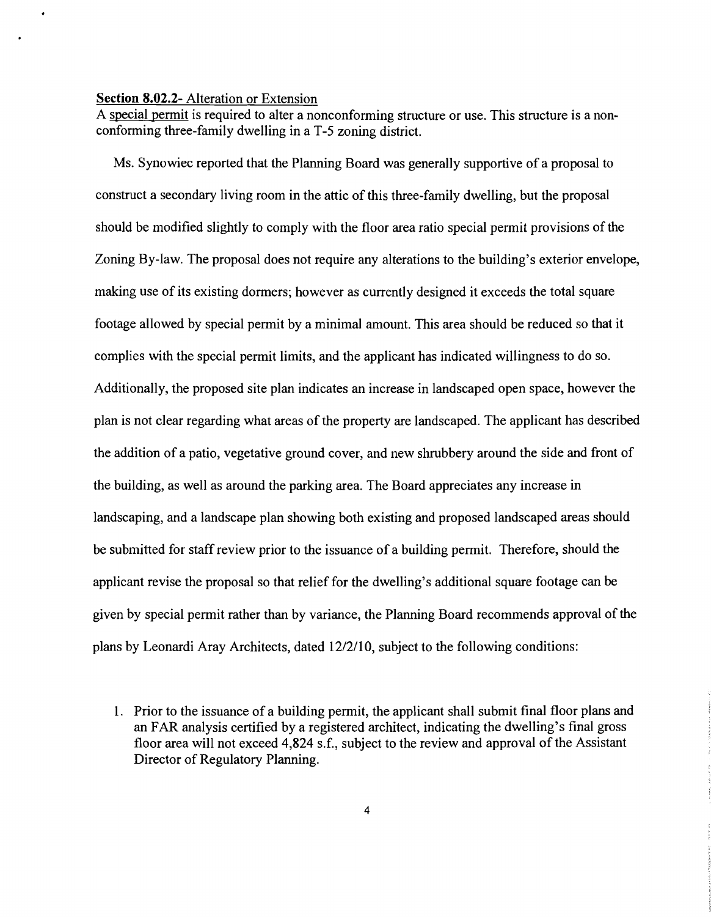## **Section 8.02.2-** Alteration or Extension

A special permit is required to alter a nonconforming structure or use. This structure is a nonconfonning three-family dwelling in a T-5 zoning district.

Ms. Synowiec reported that the Planning Board was generally supportive of a proposal to construct a secondary living room in the attic of this three-family dwelling, but the proposal should be modified slightly to comply with the floor area ratio special permit provisions of the Zoning By-law. The proposal does not require any alterations to the building's exterior envelope, making use of its existing dormers; however as currently designed it exceeds the total square footage allowed by special pennit by a minimal amount. This area should be reduced so that it complies with the special permit limits, and the applicant has indicated willingness to do so. Additionally, the proposed site plan indicates an increase in landscaped open space, however the plan is not clear regarding what areas of the property are landscaped. The applicant has described the addition of a patio, vegetative ground cover, and new shrubbery around the side and front of the building, as well as around the parking area. The Board appreciates any increase in landscaping, and a landscape plan showing both existing and proposed landscaped areas should be submitted for staff review prior to the issuance of a building permit. Therefore, should the applicant revise the proposal so that relief for the dwelling's additional square footage can be given by special pennit rather than by variance, the Planning Board recommends approval of the plans by Leonardi Aray Architects, dated 12/2/10, subject to the following conditions:

<sup>1.</sup> Prior to the issuance of a building permit, the applicant shall submit final floor plans and an FAR analysis certified by a registered architect, indicating the dwelling's final gross floor area will not exceed 4,824 s.f., subject to the review and approval of the Assistant Director of Regulatory Planning.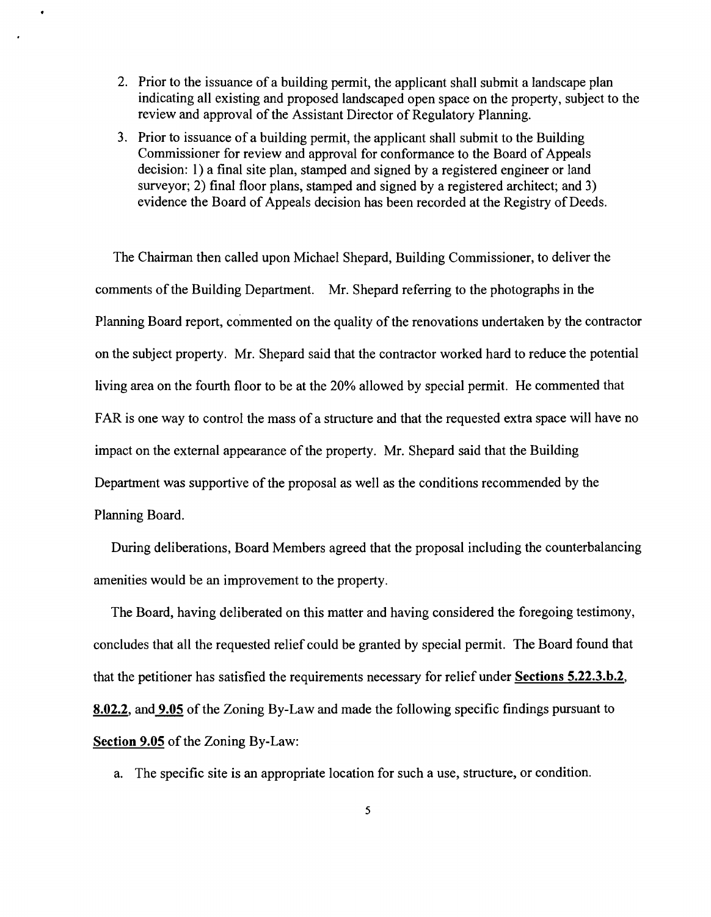- 2. Prior to the issuance of a building permit, the applicant shall submit a landscape plan indicating all existing and proposed landscaped open space on the property, subject to the review and approval of the Assistant Director of Regulatory Planning.
- 3. Prior to issuance of a building permit, the applicant shall submit to the Building Commissioner for review and approval for conformance to the Board of Appeals decision: I) a final site plan, stamped and signed by a registered engineer or land surveyor; 2) final floor plans, stamped and signed by a registered architect; and 3) evidence the Board of Appeals decision has been recorded at the Registry of Deeds.

The Chairman then called upon Michael Shepard, Building Commissioner, to deliver the comments of the Building Department. Mr. Shepard referring to the photographs in the Planning Board report, commented on the quality of the renovations undertaken by the contractor on the subject property. Mr. Shepard said that the contractor worked hard to reduce the potential living area on the fourth floor to be at the 20% allowed by special permit. He commented that FAR is one way to control the mass of a structure and that the requested extra space will have no impact on the external appearance of the property. Mr. Shepard said that the Building Department was supportive of the proposal as well as the conditions recommended by the Planning Board.

During deliberations, Board Members agreed that the proposal including the counterbalancing amenities would be an improvement to the property.

The Board, having deliberated on this matter and having considered the foregoing testimony, concludes that all the requested relief could be granted by special permit. The Board found that that the petitioner has satisfied the requirements necessary for relief under **Sections** 5.22.3.b.2, 8.02.2, and **9.05** of the Zoning By-Law and made the following specific findings pursuant to **Section 9.05** of the Zoning By-Law:

a. The specific site is an appropriate location for such a use, structure, or condition.